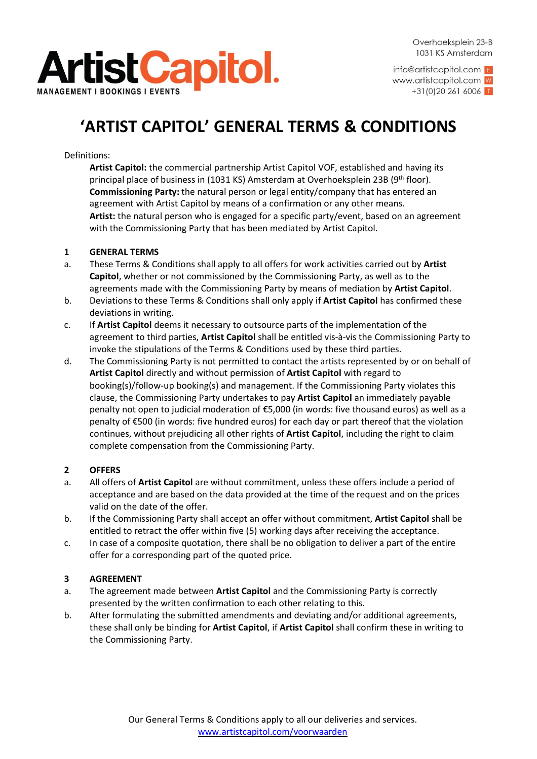

info@artistcapitol.com E www.artistcapitol.com W  $+31(0)202616006$ 

# **'ARTIST CAPITOL' GENERAL TERMS & CONDITIONS**

Definitions:

**Artist Capitol:** the commercial partnership Artist Capitol VOF, established and having its principal place of business in (1031 KS) Amsterdam at Overhoeksplein 23B (9th floor). **Commissioning Party:** the natural person or legal entity/company that has entered an agreement with Artist Capitol by means of a confirmation or any other means. **Artist:** the natural person who is engaged for a specific party/event, based on an agreement with the Commissioning Party that has been mediated by Artist Capitol.

#### **1 GENERAL TERMS**

- a. These Terms & Conditions shall apply to all offers for work activities carried out by **Artist Capitol**, whether or not commissioned by the Commissioning Party, as well as to the agreements made with the Commissioning Party by means of mediation by **Artist Capitol**.
- b. Deviations to these Terms & Conditions shall only apply if **Artist Capitol** has confirmed these deviations in writing.
- c. If **Artist Capitol** deems it necessary to outsource parts of the implementation of the agreement to third parties, **Artist Capitol** shall be entitled vis-à-vis the Commissioning Party to invoke the stipulations of the Terms & Conditions used by these third parties.
- d. The Commissioning Party is not permitted to contact the artists represented by or on behalf of **Artist Capitol** directly and without permission of **Artist Capitol** with regard to booking(s)/follow-up booking(s) and management. If the Commissioning Party violates this clause, the Commissioning Party undertakes to pay **Artist Capitol** an immediately payable penalty not open to judicial moderation of €5,000 (in words: five thousand euros) as well as a penalty of €500 (in words: five hundred euros) for each day or part thereof that the violation continues, without prejudicing all other rights of **Artist Capitol**, including the right to claim complete compensation from the Commissioning Party.

### **2 OFFERS**

- a. All offers of **Artist Capitol** are without commitment, unless these offers include a period of acceptance and are based on the data provided at the time of the request and on the prices valid on the date of the offer.
- b. If the Commissioning Party shall accept an offer without commitment, **Artist Capitol** shall be entitled to retract the offer within five (5) working days after receiving the acceptance.
- c. In case of a composite quotation, there shall be no obligation to deliver a part of the entire offer for a corresponding part of the quoted price.

### **3 AGREEMENT**

- a. The agreement made between **Artist Capitol** and the Commissioning Party is correctly presented by the written confirmation to each other relating to this.
- b. After formulating the submitted amendments and deviating and/or additional agreements, these shall only be binding for **Artist Capitol**, if **Artist Capitol** shall confirm these in writing to the Commissioning Party.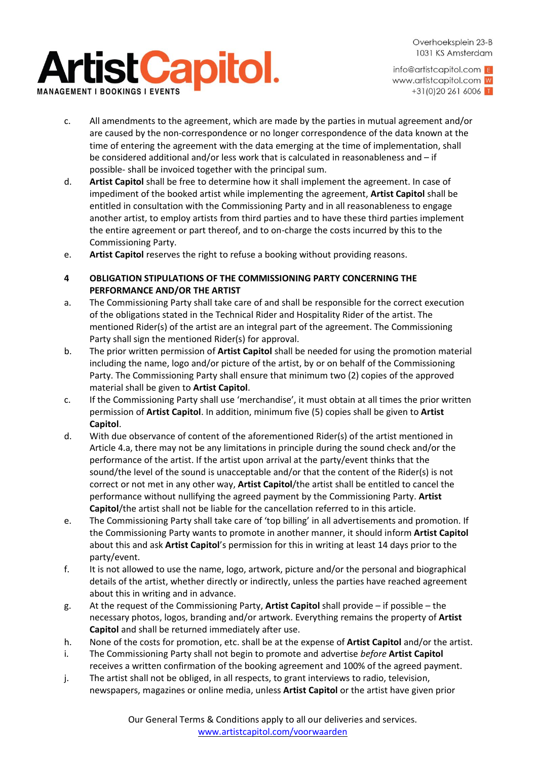# **ArtistCapitol. NAGEMENT I BOOKINGS**

Overhoeksplein 23-B 1031 KS Amsterdam

info@artistcapitol.com E www.artistcapitol.com W  $+31(0)202616006$ 

- c. All amendments to the agreement, which are made by the parties in mutual agreement and/or are caused by the non-correspondence or no longer correspondence of the data known at the time of entering the agreement with the data emerging at the time of implementation, shall be considered additional and/or less work that is calculated in reasonableness and – if possible- shall be invoiced together with the principal sum.
- d. **Artist Capitol** shall be free to determine how it shall implement the agreement. In case of impediment of the booked artist while implementing the agreement, **Artist Capitol** shall be entitled in consultation with the Commissioning Party and in all reasonableness to engage another artist, to employ artists from third parties and to have these third parties implement the entire agreement or part thereof, and to on-charge the costs incurred by this to the Commissioning Party.
- e. **Artist Capitol** reserves the right to refuse a booking without providing reasons.
- **4 OBLIGATION STIPULATIONS OF THE COMMISSIONING PARTY CONCERNING THE PERFORMANCE AND/OR THE ARTIST**
- a. The Commissioning Party shall take care of and shall be responsible for the correct execution of the obligations stated in the Technical Rider and Hospitality Rider of the artist. The mentioned Rider(s) of the artist are an integral part of the agreement. The Commissioning Party shall sign the mentioned Rider(s) for approval.
- b. The prior written permission of **Artist Capitol** shall be needed for using the promotion material including the name, logo and/or picture of the artist, by or on behalf of the Commissioning Party. The Commissioning Party shall ensure that minimum two (2) copies of the approved material shall be given to **Artist Capitol**.
- c. If the Commissioning Party shall use 'merchandise', it must obtain at all times the prior written permission of **Artist Capitol**. In addition, minimum five (5) copies shall be given to **Artist Capitol**.
- d. With due observance of content of the aforementioned Rider(s) of the artist mentioned in Article 4.a, there may not be any limitations in principle during the sound check and/or the performance of the artist. If the artist upon arrival at the party/event thinks that the sound/the level of the sound is unacceptable and/or that the content of the Rider(s) is not correct or not met in any other way, **Artist Capitol**/the artist shall be entitled to cancel the performance without nullifying the agreed payment by the Commissioning Party. **Artist Capitol**/the artist shall not be liable for the cancellation referred to in this article.
- e. The Commissioning Party shall take care of 'top billing' in all advertisements and promotion. If the Commissioning Party wants to promote in another manner, it should inform **Artist Capitol** about this and ask **Artist Capitol**'s permission for this in writing at least 14 days prior to the party/event.
- f. It is not allowed to use the name, logo, artwork, picture and/or the personal and biographical details of the artist, whether directly or indirectly, unless the parties have reached agreement about this in writing and in advance.
- g. At the request of the Commissioning Party, **Artist Capitol** shall provide if possible the necessary photos, logos, branding and/or artwork. Everything remains the property of **Artist Capitol** and shall be returned immediately after use.
- h. None of the costs for promotion, etc. shall be at the expense of **Artist Capitol** and/or the artist.
- i. The Commissioning Party shall not begin to promote and advertise *before* **Artist Capitol** receives a written confirmation of the booking agreement and 100% of the agreed payment.
- j. The artist shall not be obliged, in all respects, to grant interviews to radio, television, newspapers, magazines or online media, unless **Artist Capitol** or the artist have given prior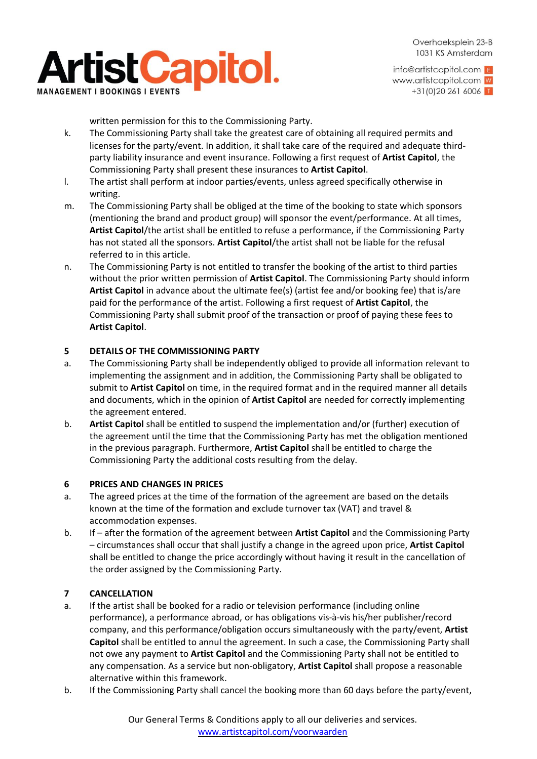

info@artistcapitol.com E www.artistcapitol.com W  $+31(0)202616006$ 

written permission for this to the Commissioning Party.

- k. The Commissioning Party shall take the greatest care of obtaining all required permits and licenses for the party/event. In addition, it shall take care of the required and adequate thirdparty liability insurance and event insurance. Following a first request of **Artist Capitol**, the Commissioning Party shall present these insurances to **Artist Capitol**.
- l. The artist shall perform at indoor parties/events, unless agreed specifically otherwise in writing.
- m. The Commissioning Party shall be obliged at the time of the booking to state which sponsors (mentioning the brand and product group) will sponsor the event/performance. At all times, **Artist Capitol**/the artist shall be entitled to refuse a performance, if the Commissioning Party has not stated all the sponsors. **Artist Capitol**/the artist shall not be liable for the refusal referred to in this article.
- n. The Commissioning Party is not entitled to transfer the booking of the artist to third parties without the prior written permission of **Artist Capitol**. The Commissioning Party should inform **Artist Capitol** in advance about the ultimate fee(s) (artist fee and/or booking fee) that is/are paid for the performance of the artist. Following a first request of **Artist Capitol**, the Commissioning Party shall submit proof of the transaction or proof of paying these fees to **Artist Capitol**.

#### **5 DETAILS OF THE COMMISSIONING PARTY**

- a. The Commissioning Party shall be independently obliged to provide all information relevant to implementing the assignment and in addition, the Commissioning Party shall be obligated to submit to **Artist Capitol** on time, in the required format and in the required manner all details and documents, which in the opinion of **Artist Capitol** are needed for correctly implementing the agreement entered.
- b. **Artist Capitol** shall be entitled to suspend the implementation and/or (further) execution of the agreement until the time that the Commissioning Party has met the obligation mentioned in the previous paragraph. Furthermore, **Artist Capitol** shall be entitled to charge the Commissioning Party the additional costs resulting from the delay.

#### **6 PRICES AND CHANGES IN PRICES**

- a. The agreed prices at the time of the formation of the agreement are based on the details known at the time of the formation and exclude turnover tax (VAT) and travel & accommodation expenses.
- b. If after the formation of the agreement between **Artist Capitol** and the Commissioning Party – circumstances shall occur that shall justify a change in the agreed upon price, **Artist Capitol** shall be entitled to change the price accordingly without having it result in the cancellation of the order assigned by the Commissioning Party.

### **7 CANCELLATION**

- a. If the artist shall be booked for a radio or television performance (including online performance), a performance abroad, or has obligations vis-à-vis his/her publisher/record company, and this performance/obligation occurs simultaneously with the party/event, **Artist Capitol** shall be entitled to annul the agreement. In such a case, the Commissioning Party shall not owe any payment to **Artist Capitol** and the Commissioning Party shall not be entitled to any compensation. As a service but non-obligatory, **Artist Capitol** shall propose a reasonable alternative within this framework.
- b. If the Commissioning Party shall cancel the booking more than 60 days before the party/event,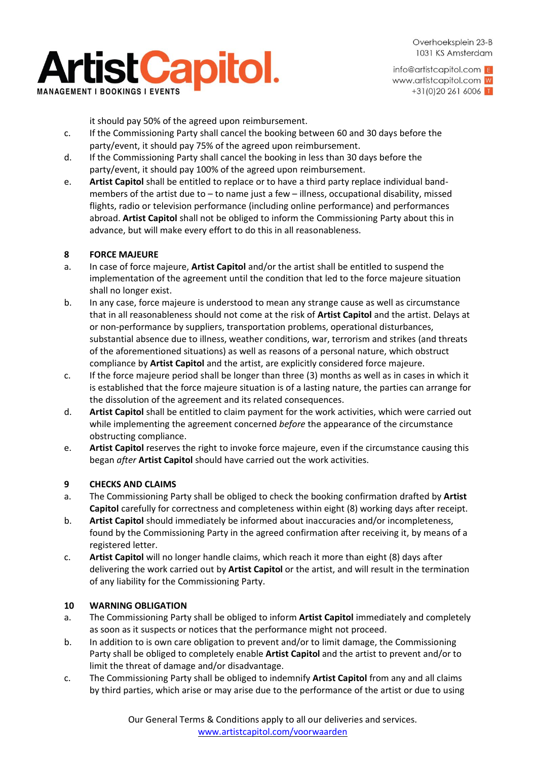

info@artistcapitol.com E www.artistcapitol.com W  $+31(0)202616006$ 

it should pay 50% of the agreed upon reimbursement.

- c. If the Commissioning Party shall cancel the booking between 60 and 30 days before the party/event, it should pay 75% of the agreed upon reimbursement.
- d. If the Commissioning Party shall cancel the booking in less than 30 days before the party/event, it should pay 100% of the agreed upon reimbursement.
- e. **Artist Capitol** shall be entitled to replace or to have a third party replace individual bandmembers of the artist due to – to name just a few – illness, occupational disability, missed flights, radio or television performance (including online performance) and performances abroad. **Artist Capitol** shall not be obliged to inform the Commissioning Party about this in advance, but will make every effort to do this in all reasonableness.

#### **8 FORCE MAJEURE**

- a. In case of force majeure, **Artist Capitol** and/or the artist shall be entitled to suspend the implementation of the agreement until the condition that led to the force majeure situation shall no longer exist.
- b. In any case, force majeure is understood to mean any strange cause as well as circumstance that in all reasonableness should not come at the risk of **Artist Capitol** and the artist. Delays at or non-performance by suppliers, transportation problems, operational disturbances, substantial absence due to illness, weather conditions, war, terrorism and strikes (and threats of the aforementioned situations) as well as reasons of a personal nature, which obstruct compliance by **Artist Capitol** and the artist, are explicitly considered force majeure.
- c. If the force majeure period shall be longer than three (3) months as well as in cases in which it is established that the force majeure situation is of a lasting nature, the parties can arrange for the dissolution of the agreement and its related consequences.
- d. **Artist Capitol** shall be entitled to claim payment for the work activities, which were carried out while implementing the agreement concerned *before* the appearance of the circumstance obstructing compliance.
- e. **Artist Capitol** reserves the right to invoke force majeure, even if the circumstance causing this began *after* **Artist Capitol** should have carried out the work activities.

#### **9 CHECKS AND CLAIMS**

- a. The Commissioning Party shall be obliged to check the booking confirmation drafted by **Artist Capitol** carefully for correctness and completeness within eight (8) working days after receipt.
- b. **Artist Capitol** should immediately be informed about inaccuracies and/or incompleteness, found by the Commissioning Party in the agreed confirmation after receiving it, by means of a registered letter.
- c. **Artist Capitol** will no longer handle claims, which reach it more than eight (8) days after delivering the work carried out by **Artist Capitol** or the artist, and will result in the termination of any liability for the Commissioning Party.

#### **10 WARNING OBLIGATION**

- a. The Commissioning Party shall be obliged to inform **Artist Capitol** immediately and completely as soon as it suspects or notices that the performance might not proceed.
- b. In addition to is own care obligation to prevent and/or to limit damage, the Commissioning Party shall be obliged to completely enable **Artist Capitol** and the artist to prevent and/or to limit the threat of damage and/or disadvantage.
- c. The Commissioning Party shall be obliged to indemnify **Artist Capitol** from any and all claims by third parties, which arise or may arise due to the performance of the artist or due to using

Our General Terms & Conditions apply to all our deliveries and services. [www.artistcapitol.com/voorwaarden](http://www.artistcapitol.com/voorwaarden)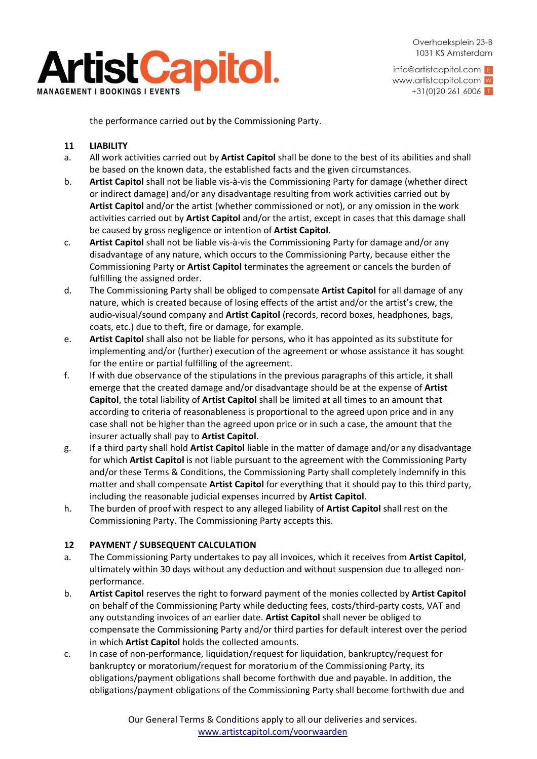

info@artistcapitol.com E www.artistcapitol.com W  $+31(0)202616006$ 

the performance carried out by the Commissioning Party.

#### **11 LIABILITY**

- a. All work activities carried out by **Artist Capitol** shall be done to the best of its abilities and shall be based on the known data, the established facts and the given circumstances.
- b. **Artist Capitol** shall not be liable vis-à-vis the Commissioning Party for damage (whether direct or indirect damage) and/or any disadvantage resulting from work activities carried out by **Artist Capitol** and/or the artist (whether commissioned or not), or any omission in the work activities carried out by **Artist Capitol** and/or the artist, except in cases that this damage shall be caused by gross negligence or intention of **Artist Capitol**.
- c. **Artist Capitol** shall not be liable vis-à-vis the Commissioning Party for damage and/or any disadvantage of any nature, which occurs to the Commissioning Party, because either the Commissioning Party or **Artist Capitol** terminates the agreement or cancels the burden of fulfilling the assigned order.
- d. The Commissioning Party shall be obliged to compensate **Artist Capitol** for all damage of any nature, which is created because of losing effects of the artist and/or the artist's crew, the audio-visual/sound company and **Artist Capitol** (records, record boxes, headphones, bags, coats, etc.) due to theft, fire or damage, for example.
- e. **Artist Capitol** shall also not be liable for persons, who it has appointed as its substitute for implementing and/or (further) execution of the agreement or whose assistance it has sought for the entire or partial fulfilling of the agreement.
- f. If with due observance of the stipulations in the previous paragraphs of this article, it shall emerge that the created damage and/or disadvantage should be at the expense of **Artist Capitol**, the total liability of **Artist Capitol** shall be limited at all times to an amount that according to criteria of reasonableness is proportional to the agreed upon price and in any case shall not be higher than the agreed upon price or in such a case, the amount that the insurer actually shall pay to **Artist Capitol**.
- g. If a third party shall hold **Artist Capitol** liable in the matter of damage and/or any disadvantage for which **Artist Capitol** is not liable pursuant to the agreement with the Commissioning Party and/or these Terms & Conditions, the Commissioning Party shall completely indemnify in this matter and shall compensate **Artist Capitol** for everything that it should pay to this third party, including the reasonable judicial expenses incurred by **Artist Capitol**.
- h. The burden of proof with respect to any alleged liability of **Artist Capitol** shall rest on the Commissioning Party. The Commissioning Party accepts this.

### **12 PAYMENT / SUBSEQUENT CALCULATION**

- a. The Commissioning Party undertakes to pay all invoices, which it receives from **Artist Capitol**, ultimately within 30 days without any deduction and without suspension due to alleged nonperformance.
- b. **Artist Capitol** reserves the right to forward payment of the monies collected by **Artist Capitol** on behalf of the Commissioning Party while deducting fees, costs/third-party costs, VAT and any outstanding invoices of an earlier date. **Artist Capitol** shall never be obliged to compensate the Commissioning Party and/or third parties for default interest over the period in which **Artist Capitol** holds the collected amounts.
- c. In case of non-performance, liquidation/request for liquidation, bankruptcy/request for bankruptcy or moratorium/request for moratorium of the Commissioning Party, its obligations/payment obligations shall become forthwith due and payable. In addition, the obligations/payment obligations of the Commissioning Party shall become forthwith due and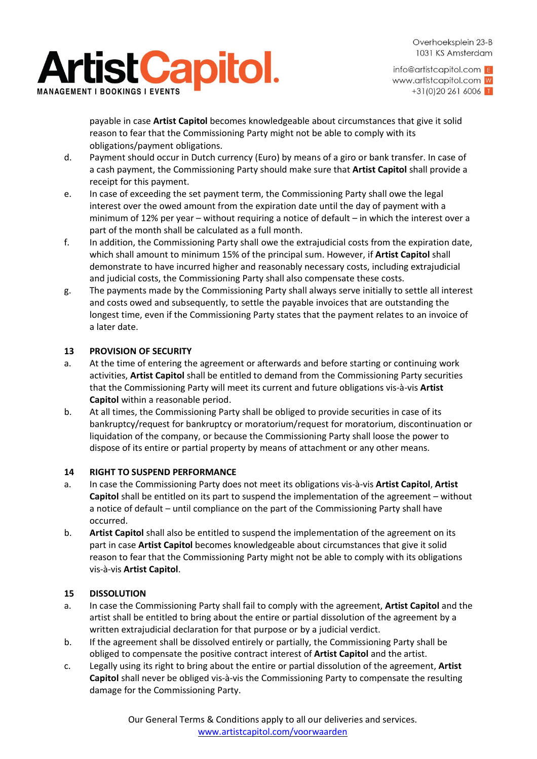

info@artistcapitol.com E www.artistcapitol.com W  $+31(0)202616006$ 

payable in case **Artist Capitol** becomes knowledgeable about circumstances that give it solid reason to fear that the Commissioning Party might not be able to comply with its obligations/payment obligations.

- d. Payment should occur in Dutch currency (Euro) by means of a giro or bank transfer. In case of a cash payment, the Commissioning Party should make sure that **Artist Capitol** shall provide a receipt for this payment.
- e. In case of exceeding the set payment term, the Commissioning Party shall owe the legal interest over the owed amount from the expiration date until the day of payment with a minimum of 12% per year – without requiring a notice of default – in which the interest over a part of the month shall be calculated as a full month.
- f. In addition, the Commissioning Party shall owe the extrajudicial costs from the expiration date, which shall amount to minimum 15% of the principal sum. However, if **Artist Capitol** shall demonstrate to have incurred higher and reasonably necessary costs, including extrajudicial and judicial costs, the Commissioning Party shall also compensate these costs.
- g. The payments made by the Commissioning Party shall always serve initially to settle all interest and costs owed and subsequently, to settle the payable invoices that are outstanding the longest time, even if the Commissioning Party states that the payment relates to an invoice of a later date.

## **13 PROVISION OF SECURITY**

- a. At the time of entering the agreement or afterwards and before starting or continuing work activities, **Artist Capitol** shall be entitled to demand from the Commissioning Party securities that the Commissioning Party will meet its current and future obligations vis-à-vis **Artist Capitol** within a reasonable period.
- b. At all times, the Commissioning Party shall be obliged to provide securities in case of its bankruptcy/request for bankruptcy or moratorium/request for moratorium, discontinuation or liquidation of the company, or because the Commissioning Party shall loose the power to dispose of its entire or partial property by means of attachment or any other means.

### **14 RIGHT TO SUSPEND PERFORMANCE**

- a. In case the Commissioning Party does not meet its obligations vis-à-vis **Artist Capitol**, **Artist Capitol** shall be entitled on its part to suspend the implementation of the agreement – without a notice of default – until compliance on the part of the Commissioning Party shall have occurred.
- b. **Artist Capitol** shall also be entitled to suspend the implementation of the agreement on its part in case **Artist Capitol** becomes knowledgeable about circumstances that give it solid reason to fear that the Commissioning Party might not be able to comply with its obligations vis-à-vis **Artist Capitol**.

# **15 DISSOLUTION**

- a. In case the Commissioning Party shall fail to comply with the agreement, **Artist Capitol** and the artist shall be entitled to bring about the entire or partial dissolution of the agreement by a written extrajudicial declaration for that purpose or by a judicial verdict.
- b. If the agreement shall be dissolved entirely or partially, the Commissioning Party shall be obliged to compensate the positive contract interest of **Artist Capitol** and the artist.
- c. Legally using its right to bring about the entire or partial dissolution of the agreement, **Artist Capitol** shall never be obliged vis-à-vis the Commissioning Party to compensate the resulting damage for the Commissioning Party.

Our General Terms & Conditions apply to all our deliveries and services. [www.artistcapitol.com/voorwaarden](http://www.artistcapitol.com/voorwaarden)